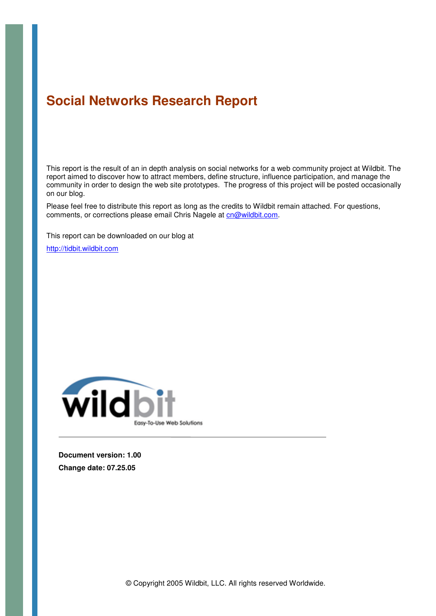# **Social Networks Research Report**

This report is the result of an in depth analysis on social networks for a web community project at Wildbit. The report aimed to discover how to attract members, define structure, influence participation, and manage the community in order to design the web site prototypes. The progress of this project will be posted occasionally on our blog.

Please feel free to distribute this report as long as the credits to Wildbit remain attached. For questions, comments, or corrections please email Chris Nagele at cn@wildbit.com.

This report can be downloaded on our blog at

http://tidbit.wildbit.com



**Document version: 1.00 Change date: 07.25.05**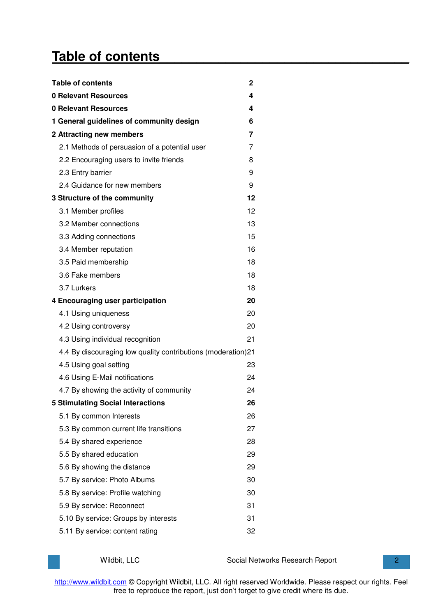# **Table of contents\_\_\_\_\_\_\_\_\_\_\_\_\_\_\_\_\_\_\_\_\_\_\_\_\_\_\_\_\_\_\_\_\_\_**

| <b>Table of contents</b>                                     | 2  |
|--------------------------------------------------------------|----|
| 0 Relevant Resources                                         | 4  |
| <b>0 Relevant Resources</b>                                  | 4  |
| 1 General guidelines of community design                     | 6  |
| 2 Attracting new members                                     | 7  |
| 2.1 Methods of persuasion of a potential user                | 7  |
| 2.2 Encouraging users to invite friends                      | 8  |
| 2.3 Entry barrier                                            | 9  |
| 2.4 Guidance for new members                                 | 9  |
| 3 Structure of the community                                 | 12 |
| 3.1 Member profiles                                          | 12 |
| 3.2 Member connections                                       | 13 |
| 3.3 Adding connections                                       | 15 |
| 3.4 Member reputation                                        | 16 |
| 3.5 Paid membership                                          | 18 |
| 3.6 Fake members                                             | 18 |
| 3.7 Lurkers                                                  | 18 |
| 4 Encouraging user participation                             | 20 |
| 4.1 Using uniqueness                                         | 20 |
| 4.2 Using controversy                                        | 20 |
| 4.3 Using individual recognition                             | 21 |
| 4.4 By discouraging low quality contributions (moderation)21 |    |
| 4.5 Using goal setting                                       | 23 |
| 4.6 Using E-Mail notifications                               | 24 |
| 4.7 By showing the activity of community                     | 24 |
| <b>5 Stimulating Social Interactions</b>                     | 26 |
| 5.1 By common Interests                                      | 26 |
| 5.3 By common current life transitions                       | 27 |
| 5.4 By shared experience                                     | 28 |
| 5.5 By shared education                                      | 29 |
| 5.6 By showing the distance                                  | 29 |
| 5.7 By service: Photo Albums                                 | 30 |
| 5.8 By service: Profile watching                             | 30 |
| 5.9 By service: Reconnect                                    | 31 |
| 5.10 By service: Groups by interests                         | 31 |
| 5.11 By service: content rating                              | 32 |

| Wildbit, LLC | Social Networks Research Report |  |
|--------------|---------------------------------|--|
|              |                                 |  |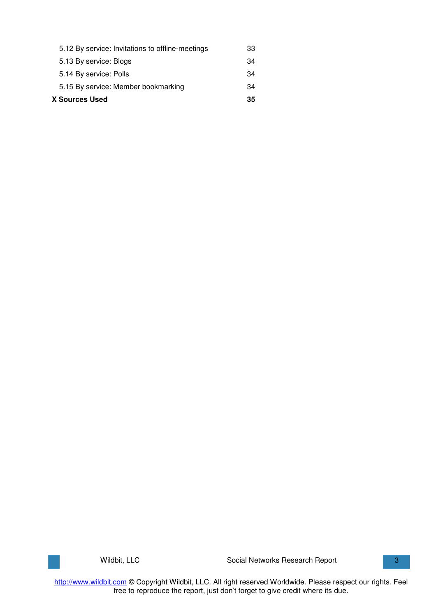| X Sources Used                                   |    |  |
|--------------------------------------------------|----|--|
| 5.15 By service: Member bookmarking              | 34 |  |
| 5.14 By service: Polls                           | 34 |  |
| 5.13 By service: Blogs                           | 34 |  |
| 5.12 By service: Invitations to offline-meetings | 33 |  |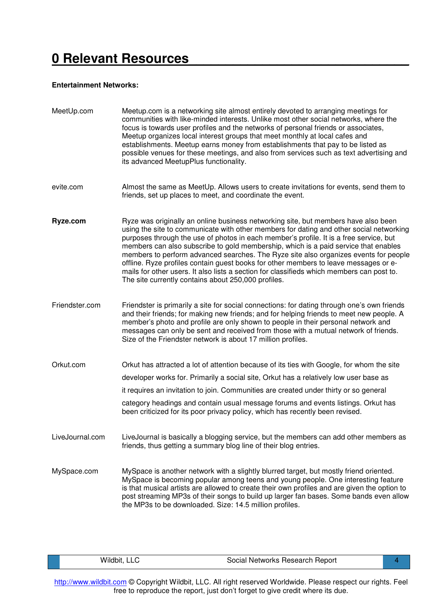# **0 Relevant Resources\_\_\_\_\_\_\_\_\_\_\_\_\_\_\_\_\_\_\_\_\_\_\_\_\_\_\_\_\_\_**

#### **Entertainment Networks:**

| MeetUp.com      | Meetup.com is a networking site almost entirely devoted to arranging meetings for<br>communities with like-minded interests. Unlike most other social networks, where the<br>focus is towards user profiles and the networks of personal friends or associates,<br>Meetup organizes local interest groups that meet monthly at local cafes and<br>establishments. Meetup earns money from establishments that pay to be listed as<br>possible venues for these meetings, and also from services such as text advertising and<br>its advanced MeetupPlus functionality.                                                                                                                             |
|-----------------|----------------------------------------------------------------------------------------------------------------------------------------------------------------------------------------------------------------------------------------------------------------------------------------------------------------------------------------------------------------------------------------------------------------------------------------------------------------------------------------------------------------------------------------------------------------------------------------------------------------------------------------------------------------------------------------------------|
| evite.com       | Almost the same as MeetUp. Allows users to create invitations for events, send them to<br>friends, set up places to meet, and coordinate the event.                                                                                                                                                                                                                                                                                                                                                                                                                                                                                                                                                |
| Ryze.com        | Ryze was originally an online business networking site, but members have also been<br>using the site to communicate with other members for dating and other social networking<br>purposes through the use of photos in each member's profile. It is a free service, but<br>members can also subscribe to gold membership, which is a paid service that enables<br>members to perform advanced searches. The Ryze site also organizes events for people<br>offline. Ryze profiles contain guest books for other members to leave messages or e-<br>mails for other users. It also lists a section for classifieds which members can post to.<br>The site currently contains about 250,000 profiles. |
| Friendster.com  | Friendster is primarily a site for social connections: for dating through one's own friends<br>and their friends; for making new friends; and for helping friends to meet new people. A<br>member's photo and profile are only shown to people in their personal network and<br>messages can only be sent and received from those with a mutual network of friends.<br>Size of the Friendster network is about 17 million profiles.                                                                                                                                                                                                                                                                |
| Orkut.com       | Orkut has attracted a lot of attention because of its ties with Google, for whom the site<br>developer works for. Primarily a social site, Orkut has a relatively low user base as<br>it requires an invitation to join. Communities are created under thirty or so general<br>category headings and contain usual message forums and events listings. Orkut has<br>been criticized for its poor privacy policy, which has recently been revised.                                                                                                                                                                                                                                                  |
| LiveJournal.com | LiveJournal is basically a blogging service, but the members can add other members as<br>friends, thus getting a summary blog line of their blog entries.                                                                                                                                                                                                                                                                                                                                                                                                                                                                                                                                          |
| MySpace.com     | MySpace is another network with a slightly blurred target, but mostly friend oriented.<br>MySpace is becoming popular among teens and young people. One interesting feature<br>is that musical artists are allowed to create their own profiles and are given the option to<br>post streaming MP3s of their songs to build up larger fan bases. Some bands even allow<br>the MP3s to be downloaded. Size: 14.5 million profiles.                                                                                                                                                                                                                                                                   |

|  | ___ | Report<br>⊰ocial<br>l Networks Research |  |
|--|-----|-----------------------------------------|--|
|--|-----|-----------------------------------------|--|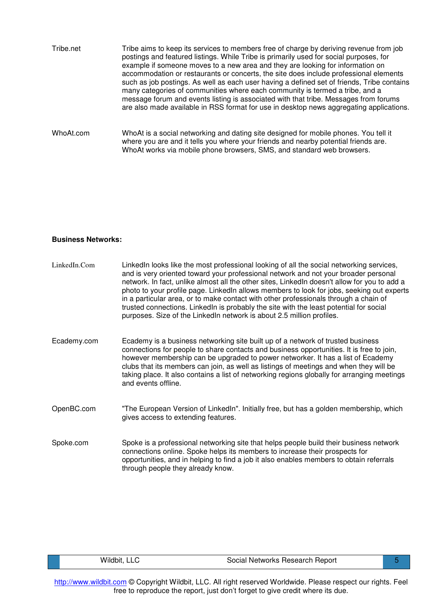| Tribe.net | Tribe aims to keep its services to members free of charge by deriving revenue from job<br>postings and featured listings. While Tribe is primarily used for social purposes, for<br>example if someone moves to a new area and they are looking for information on<br>accommodation or restaurants or concerts, the site does include professional elements<br>such as job postings. As well as each user having a defined set of friends, Tribe contains<br>many categories of communities where each community is termed a tribe, and a<br>message forum and events listing is associated with that tribe. Messages from forums<br>are also made available in RSS format for use in desktop news aggregating applications. |
|-----------|------------------------------------------------------------------------------------------------------------------------------------------------------------------------------------------------------------------------------------------------------------------------------------------------------------------------------------------------------------------------------------------------------------------------------------------------------------------------------------------------------------------------------------------------------------------------------------------------------------------------------------------------------------------------------------------------------------------------------|
| WhoAt.com | WhoAt is a social networking and dating site designed for mobile phones. You tell it<br>where you are and it tells you where your friends and nearby potential friends are.<br>WhoAt works via mobile phone browsers, SMS, and standard web browsers.                                                                                                                                                                                                                                                                                                                                                                                                                                                                        |

#### **Business Networks:**

| LinkedIn.Com | LinkedIn looks like the most professional looking of all the social networking services,<br>and is very oriented toward your professional network and not your broader personal<br>network. In fact, unlike almost all the other sites, LinkedIn doesn't allow for you to add a<br>photo to your profile page. Linkedln allows members to look for jobs, seeking out experts<br>in a particular area, or to make contact with other professionals through a chain of<br>trusted connections. LinkedIn is probably the site with the least potential for social<br>purposes. Size of the LinkedIn network is about 2.5 million profiles. |
|--------------|-----------------------------------------------------------------------------------------------------------------------------------------------------------------------------------------------------------------------------------------------------------------------------------------------------------------------------------------------------------------------------------------------------------------------------------------------------------------------------------------------------------------------------------------------------------------------------------------------------------------------------------------|
| Ecademy.com  | Ecademy is a business networking site built up of a network of trusted business<br>connections for people to share contacts and business opportunities. It is free to join,<br>however membership can be upgraded to power networker. It has a list of Ecademy<br>clubs that its members can join, as well as listings of meetings and when they will be<br>taking place. It also contains a list of networking regions globally for arranging meetings<br>and events offline.                                                                                                                                                          |
| OpenBC.com   | "The European Version of LinkedIn". Initially free, but has a golden membership, which<br>gives access to extending features.                                                                                                                                                                                                                                                                                                                                                                                                                                                                                                           |
| Spoke.com    | Spoke is a professional networking site that helps people build their business network<br>connections online. Spoke helps its members to increase their prospects for<br>opportunities, and in helping to find a job it also enables members to obtain referrals<br>through people they already know.                                                                                                                                                                                                                                                                                                                                   |

| Wildbit, LLC | Social Networks Research Report |  |
|--------------|---------------------------------|--|
|--------------|---------------------------------|--|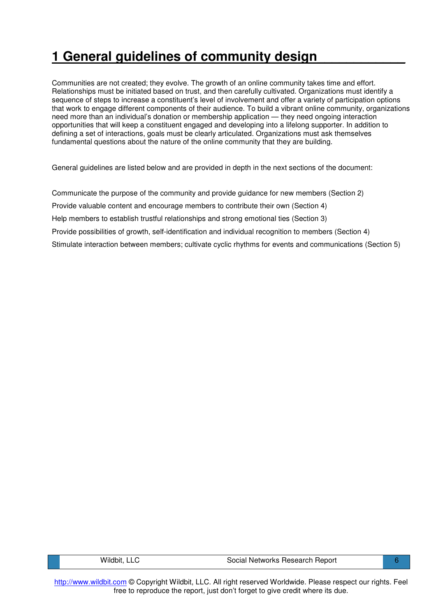# **1 General guidelines of community design\_\_\_\_\_\_\_\_\_\_\_\_**

Communities are not created; they evolve. The growth of an online community takes time and effort. Relationships must be initiated based on trust, and then carefully cultivated. Organizations must identify a sequence of steps to increase a constituent's level of involvement and offer a variety of participation options that work to engage different components of their audience. To build a vibrant online community, organizations need more than an individual's donation or membership application — they need ongoing interaction opportunities that will keep a constituent engaged and developing into a lifelong supporter. In addition to defining a set of interactions, goals must be clearly articulated. Organizations must ask themselves fundamental questions about the nature of the online community that they are building.

General guidelines are listed below and are provided in depth in the next sections of the document:

Communicate the purpose of the community and provide guidance for new members (Section 2) Provide valuable content and encourage members to contribute their own (Section 4) Help members to establish trustful relationships and strong emotional ties (Section 3) Provide possibilities of growth, self-identification and individual recognition to members (Section 4) Stimulate interaction between members; cultivate cyclic rhythms for events and communications (Section 5)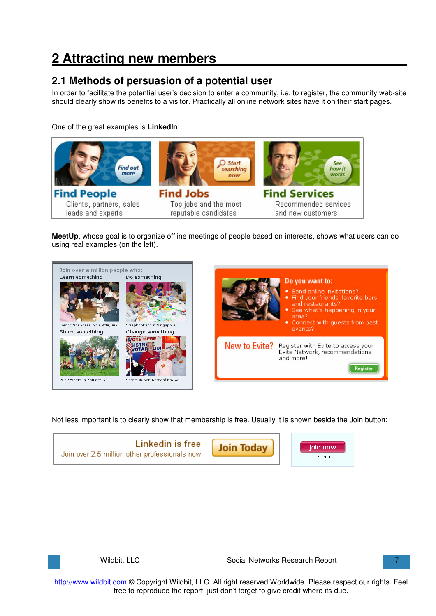# **2 Attracting new members\_\_\_\_\_\_\_\_\_\_\_\_\_\_\_\_\_\_\_\_\_\_\_\_\_\_**

### **2.1 Methods of persuasion of a potential user**

In order to facilitate the potential user's decision to enter a community, i.e. to register, the community web-site should clearly show its benefits to a visitor. Practically all online network sites have it on their start pages.

One of the great examples is **LinkedIn**:



**MeetUp**, whose goal is to organize offline meetings of people based on interests, shows what users can do using real examples (on the left).



Not less important is to clearly show that membership is free. Usually it is shown beside the Join button:



| Wildbit | ' ocialد<br>l Networks Research Report |  |
|---------|----------------------------------------|--|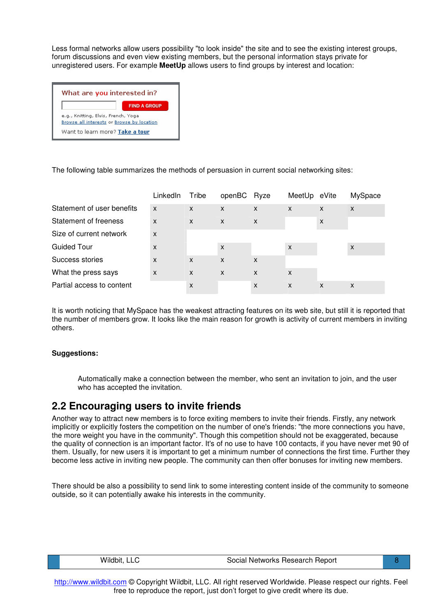Less formal networks allow users possibility "to look inside" the site and to see the existing interest groups, forum discussions and even view existing members, but the personal information stays private for unregistered users. For example **MeetUp** allows users to find groups by interest and location:

|                                            | <b>FIND A GROUP</b>             |
|--------------------------------------------|---------------------------------|
| e.g., Knitting, Elvis, French, Yoga        |                                 |
| Browse all interests or Browse by location |                                 |
|                                            | Want to learn more? Take a tour |

The following table summarizes the methods of persuasion in current social networking sites:

|                            | LinkedIn | Tribe | openBC       | Ryze | MeetUp eVite |   | MySpace |
|----------------------------|----------|-------|--------------|------|--------------|---|---------|
| Statement of user benefits | X        | X     | X            | X    | X            | X | X       |
| Statement of freeness      | X        | X     | $\mathsf{x}$ | X    |              | X |         |
| Size of current network    | X        |       |              |      |              |   |         |
| Guided Tour                | X        |       | X            |      | X            |   | X       |
| Success stories            | X        | X     | X            | X    |              |   |         |
| What the press says        | X        | X     | X            | X    | X            |   |         |
| Partial access to content  |          | x     |              | X    | X            | X | X       |

It is worth noticing that MySpace has the weakest attracting features on its web site, but still it is reported that the number of members grow. It looks like the main reason for growth is activity of current members in inviting others.

#### **Suggestions:**

Automatically make a connection between the member, who sent an invitation to join, and the user who has accepted the invitation.

### **2.2 Encouraging users to invite friends**

Another way to attract new members is to force exiting members to invite their friends. Firstly, any network implicitly or explicitly fosters the competition on the number of one's friends: "the more connections you have, the more weight you have in the community". Though this competition should not be exaggerated, because the quality of connection is an important factor. It's of no use to have 100 contacts, if you have never met 90 of them. Usually, for new users it is important to get a minimum number of connections the first time. Further they become less active in inviting new people. The community can then offer bonuses for inviting new members.

There should be also a possibility to send link to some interesting content inside of the community to someone outside, so it can potentially awake his interests in the community.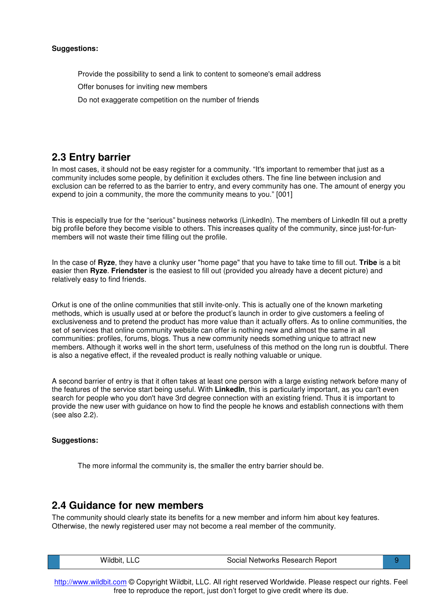- Provide the possibility to send a link to content to someone's email address
- Offer bonuses for inviting new members
- Do not exaggerate competition on the number of friends

### **2.3 Entry barrier**

In most cases, it should not be easy register for a community. "It's important to remember that just as a community includes some people, by definition it excludes others. The fine line between inclusion and exclusion can be referred to as the barrier to entry, and every community has one. The amount of energy you expend to join a community, the more the community means to you." [001]

This is especially true for the "serious" business networks (LinkedIn). The members of LinkedIn fill out a pretty big profile before they become visible to others. This increases quality of the community, since just-for-funmembers will not waste their time filling out the profile.

In the case of **Ryze**, they have a clunky user "home page" that you have to take time to fill out. **Tribe** is a bit easier then **Ryze**. **Friendster** is the easiest to fill out (provided you already have a decent picture) and relatively easy to find friends.

Orkut is one of the online communities that still invite-only. This is actually one of the known marketing methods, which is usually used at or before the product's launch in order to give customers a feeling of exclusiveness and to pretend the product has more value than it actually offers. As to online communities, the set of services that online community website can offer is nothing new and almost the same in all communities: profiles, forums, blogs. Thus a new community needs something unique to attract new members. Although it works well in the short term, usefulness of this method on the long run is doubtful. There is also a negative effect, if the revealed product is really nothing valuable or unique.

A second barrier of entry is that it often takes at least one person with a large existing network before many of the features of the service start being useful. With **LinkedIn**, this is particularly important, as you can't even search for people who you don't have 3rd degree connection with an existing friend. Thus it is important to provide the new user with guidance on how to find the people he knows and establish connections with them (see also 2.2).

#### **Suggestions:**

The more informal the community is, the smaller the entry barrier should be.

### **2.4 Guidance for new members**

The community should clearly state its benefits for a new member and inform him about key features. Otherwise, the newly registered user may not become a real member of the community.

| Wildbit, LLC | Social Networks Research Report |  |
|--------------|---------------------------------|--|
|              |                                 |  |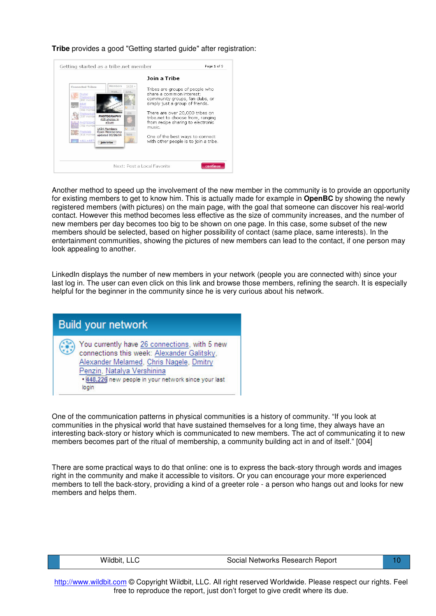**Tribe** provides a good "Getting started guide" after registration:



Another method to speed up the involvement of the new member in the community is to provide an opportunity for existing members to get to know him. This is actually made for example in **OpenBC** by showing the newly registered members (with pictures) on the main page, with the goal that someone can discover his real-world contact. However this method becomes less effective as the size of community increases, and the number of new members per day becomes too big to be shown on one page. In this case, some subset of the new members should be selected, based on higher possibility of contact (same place, same interests). In the entertainment communities, showing the pictures of new members can lead to the contact, if one person may look appealing to another.

LinkedIn displays the number of new members in your network (people you are connected with) since your last log in. The user can even click on this link and browse those members, refining the search. It is especially helpful for the beginner in the community since he is very curious about his network.



One of the communication patterns in physical communities is a history of community. "If you look at communities in the physical world that have sustained themselves for a long time, they always have an interesting back-story or history which is communicated to new members. The act of communicating it to new members becomes part of the ritual of membership, a community building act in and of itself." [004]

There are some practical ways to do that online: one is to express the back-story through words and images right in the community and make it accessible to visitors. Or you can encourage your more experienced members to tell the back-story, providing a kind of a greeter role - a person who hangs out and looks for new members and helps them.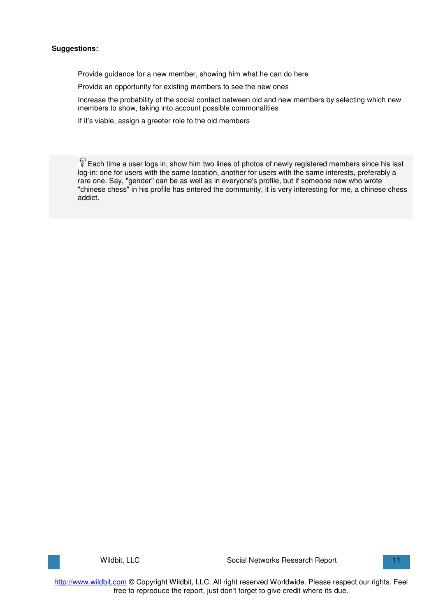Provide guidance for a new member, showing him what he can do here

Provide an opportunity for existing members to see the new ones

Increase the probability of the social contact between old and new members by selecting which new members to show, taking into account possible commonalities

If it's viable, assign a greeter role to the old members

 $\mathbb{R}^2$  Each time a user logs in, show him two lines of photos of newly registered members since his last log-in: one for users with the same location, another for users with the same interests, preferably a rare one. Say, "gender" can be as well as in everyone's profile, but if someone new who wrote "chinese chess" in his profile has entered the community, it is very interesting for me, a chinese chess addict.

http://www.wildbit.com © Copyright Wildbit, LLC. All right reserved Worldwide. Please respect our rights. Feel free to reproduce the report, just don't forget to give credit where its due.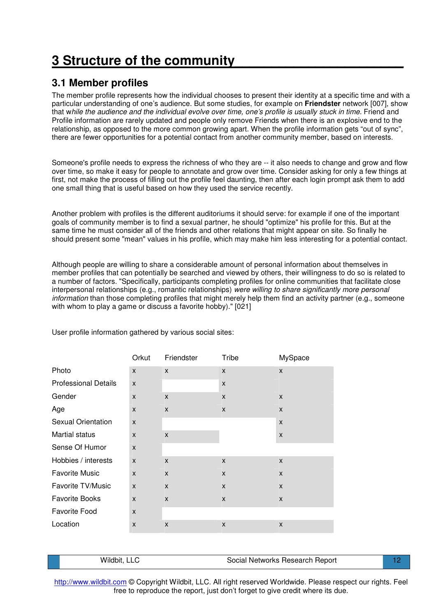# **3 Structure of the community\_\_\_\_\_\_\_\_\_\_\_\_\_\_\_\_\_\_\_\_\_\_\_**

### **3.1 Member profiles**

The member profile represents how the individual chooses to present their identity at a specific time and with a particular understanding of one's audience. But some studies, for example on **Friendster** network [007], show that w*hile the audience and the individual evolve over time, one's profile is usually stuck in time.* Friend and Profile information are rarely updated and people only remove Friends when there is an explosive end to the relationship, as opposed to the more common growing apart. When the profile information gets "out of sync", there are fewer opportunities for a potential contact from another community member, based on interests.

Someone's profile needs to express the richness of who they are -- it also needs to change and grow and flow over time, so make it easy for people to annotate and grow over time. Consider asking for only a few things at first, not make the process of filling out the profile feel daunting, then after each login prompt ask them to add one small thing that is useful based on how they used the service recently.

Another problem with profiles is the different auditoriums it should serve: for example if one of the important goals of community member is to find a sexual partner, he should "optimize" his profile for this. But at the same time he must consider all of the friends and other relations that might appear on site. So finally he should present some "mean" values in his profile, which may make him less interesting for a potential contact.

Although people are willing to share a considerable amount of personal information about themselves in member profiles that can potentially be searched and viewed by others, their willingness to do so is related to a number of factors. "Specifically, participants completing profiles for online communities that facilitate close interpersonal relationships (e.g., romantic relationships) *were willing to share significantly more personal information* than those completing profiles that might merely help them find an activity partner (e.g., someone with whom to play a game or discuss a favorite hobby)." [021]

|                             | Orkut        | Friendster   | Tribe        | MySpace      |
|-----------------------------|--------------|--------------|--------------|--------------|
| Photo                       | $\mathsf{x}$ | $\mathsf{x}$ | $\mathsf{x}$ | X            |
| <b>Professional Details</b> | $\mathsf{x}$ |              | X            |              |
| Gender                      | X            | X            | X            | X            |
| Age                         | X            | X            | X            | $\mathsf{x}$ |
| <b>Sexual Orientation</b>   | $\mathsf{x}$ |              |              | $\mathsf{x}$ |
| <b>Martial status</b>       | X            | $\mathsf{x}$ |              | X            |
| Sense Of Humor              | $\mathsf{x}$ |              |              |              |
| Hobbies / interests         | $\mathsf{x}$ | $\mathsf{x}$ | $\mathsf{x}$ | X            |
| <b>Favorite Music</b>       | X            | X            | X            | X            |
| Favorite TV/Music           | $\mathsf{x}$ | $\mathsf{x}$ | X            | X            |
| <b>Favorite Books</b>       | X            | $\mathsf{x}$ | X            | $\mathsf{x}$ |
| <b>Favorite Food</b>        | $\mathsf{x}$ |              |              |              |
| Location                    | X            | $\mathsf{x}$ | X            | $\mathsf{x}$ |

User profile information gathered by various social sites:

| Wildbit, LLC |  |
|--------------|--|
|--------------|--|

Social Networks Research Report 12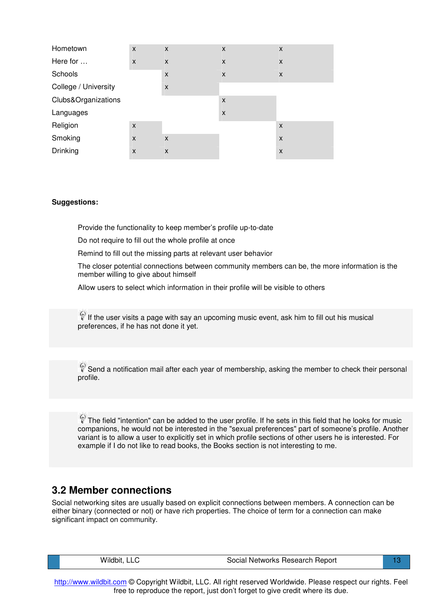| Hometown             | X | X | X | X                         |
|----------------------|---|---|---|---------------------------|
| Here for             | X | X | X | X                         |
| Schools              |   | X | X | X                         |
| College / University |   | X |   |                           |
| Clubs&Organizations  |   |   | X |                           |
| Languages            |   |   | X |                           |
| Religion             | X |   |   | $\boldsymbol{\mathsf{x}}$ |
| Smoking              | X | X |   | X                         |
| <b>Drinking</b>      | X | X |   | $\boldsymbol{\mathsf{x}}$ |

Provide the functionality to keep member's profile up-to-date

Do not require to fill out the whole profile at once

Remind to fill out the missing parts at relevant user behavior

The closer potential connections between community members can be, the more information is the member willing to give about himself

Allow users to select which information in their profile will be visible to others

 $\mathbb \widehat{V}$  If the user visits a page with say an upcoming music event, ask him to fill out his musical preferences, if he has not done it yet.

 $\mathbb{S}^3$  Send a notification mail after each year of membership, asking the member to check their personal profile.

 $\mathbb P$  The field "intention" can be added to the user profile. If he sets in this field that he looks for music companions, he would not be interested in the "sexual preferences" part of someone's profile. Another variant is to allow a user to explicitly set in which profile sections of other users he is interested. For example if I do not like to read books, the Books section is not interesting to me.

### **3.2 Member connections**

Social networking sites are usually based on explicit connections between members. A connection can be either binary (connected or not) or have rich properties. The choice of term for a connection can make significant impact on community.

Wildbit, LLC **Social Networks Research Report** 13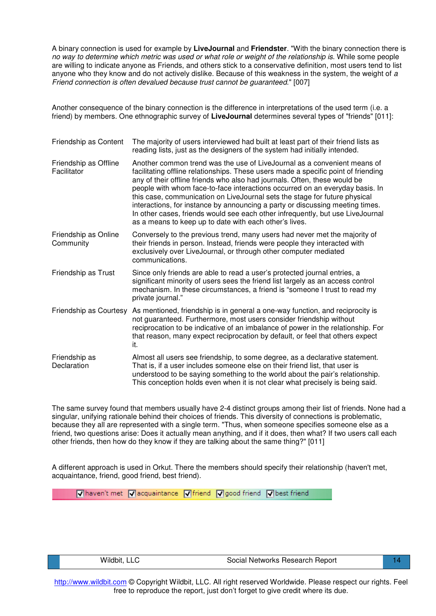A binary connection is used for example by **LiveJournal** and **Friendster**. "With the binary connection there is no way to determine which metric was used or what role or weight of the relationship is. While some people are willing to indicate anyone as Friends, and others stick to a conservative definition, most users tend to list anyone who they know and do not actively dislike. Because of this weakness in the system, the weight of *a Friend connection is often devalued because trust cannot be guaranteed*." [007]

Another consequence of the binary connection is the difference in interpretations of the used term (i.e. a friend) by members. One ethnographic survey of **LiveJournal** determines several types of "friends" [011]:

| Friendship as Content                | The majority of users interviewed had built at least part of their friend lists as<br>reading lists, just as the designers of the system had initially intended.                                                                                                                                                                                                                                                                                                                                                                                                                                                                        |
|--------------------------------------|-----------------------------------------------------------------------------------------------------------------------------------------------------------------------------------------------------------------------------------------------------------------------------------------------------------------------------------------------------------------------------------------------------------------------------------------------------------------------------------------------------------------------------------------------------------------------------------------------------------------------------------------|
| Friendship as Offline<br>Facilitator | Another common trend was the use of Live Journal as a convenient means of<br>facilitating offline relationships. These users made a specific point of friending<br>any of their offline friends who also had journals. Often, these would be<br>people with whom face-to-face interactions occurred on an everyday basis. In<br>this case, communication on LiveJournal sets the stage for future physical<br>interactions, for instance by announcing a party or discussing meeting times.<br>In other cases, friends would see each other infrequently, but use LiveJournal<br>as a means to keep up to date with each other's lives. |
| Friendship as Online<br>Community    | Conversely to the previous trend, many users had never met the majority of<br>their friends in person. Instead, friends were people they interacted with<br>exclusively over LiveJournal, or through other computer mediated<br>communications.                                                                                                                                                                                                                                                                                                                                                                                         |
| Friendship as Trust                  | Since only friends are able to read a user's protected journal entries, a<br>significant minority of users sees the friend list largely as an access control<br>mechanism. In these circumstances, a friend is "someone I trust to read my<br>private journal."                                                                                                                                                                                                                                                                                                                                                                         |
| Friendship as Courtesy               | As mentioned, friendship is in general a one-way function, and reciprocity is<br>not guaranteed. Furthermore, most users consider friendship without<br>reciprocation to be indicative of an imbalance of power in the relationship. For<br>that reason, many expect reciprocation by default, or feel that others expect<br>it.                                                                                                                                                                                                                                                                                                        |
| Friendship as<br>Declaration         | Almost all users see friendship, to some degree, as a declarative statement.<br>That is, if a user includes someone else on their friend list, that user is<br>understood to be saying something to the world about the pair's relationship.<br>This conception holds even when it is not clear what precisely is being said.                                                                                                                                                                                                                                                                                                           |

The same survey found that members usually have 2-4 distinct groups among their list of friends. None had a singular, unifying rationale behind their choices of friends. This diversity of connections is problematic, because they all are represented with a single term. "Thus, when someone specifies someone else as a friend, two questions arise: Does it actually mean anything, and if it does, then what? If two users call each other friends, then how do they know if they are talking about the same thing?" [011]

A different approach is used in Orkut. There the members should specify their relationship (haven't met, acquaintance, friend, good friend, best friend).

Vhaven't met Vacquaintance Viriend V good friend V best friend

Wildbit, LLC **Social Networks Research Report** 14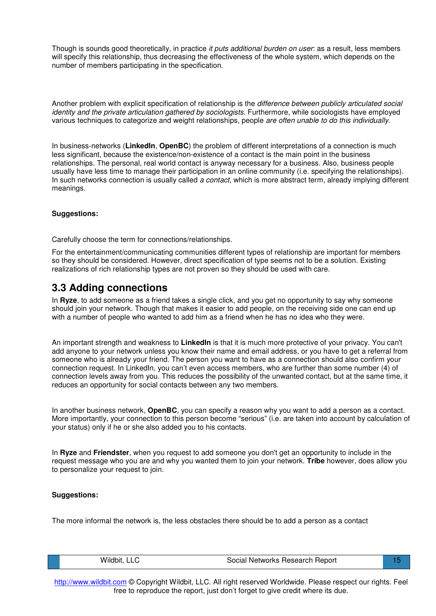Though is sounds good theoretically, in practice *it puts additional burden on user*: as a result, less members will specify this relationship, thus decreasing the effectiveness of the whole system, which depends on the number of members participating in the specification.

Another problem with explicit specification of relationship is the *difference between publicly articulated social identity and the private articulation gathered by sociologists.* Furthermore, while sociologists have employed various techniques to categorize and weight relationships, people *are often unable to do this individually*.

In business-networks (**LinkedIn**, **OpenBC**) the problem of different interpretations of a connection is much less significant, because the existence/non-existence of a contact is the main point in the business relationships. The personal, real world contact is anyway necessary for a business. Also, business people usually have less time to manage their participation in an online community (i.e. specifying the relationships). In such networks connection is usually called *a contact*, which is more abstract term, already implying different meanings.

#### **Suggestions:**

Carefully choose the term for connections/relationships.

For the entertainment/communicating communities different types of relationship are important for members so they should be considered. However, direct specification of type seems not to be a solution. Existing realizations of rich relationship types are not proven so they should be used with care.

### **3.3 Adding connections**

In **Ryze**, to add someone as a friend takes a single click, and you get no opportunity to say why someone should join your network. Though that makes it easier to add people, on the receiving side one can end up with a number of people who wanted to add him as a friend when he has no idea who they were.

An important strength and weakness to **LinkedIn** is that it is much more protective of your privacy. You can't add anyone to your network unless you know their name and email address, or you have to get a referral from someone who is already your friend. The person you want to have as a connection should also confirm your connection request. In LinkedIn, you can't even access members, who are further than some number (4) of connection levels away from you. This reduces the possibility of the unwanted contact, but at the same time, it reduces an opportunity for social contacts between any two members.

In another business network, **OpenBC**, you can specify a reason why you want to add a person as a contact. More importantly, your connection to this person become "serious" (i.e. are taken into account by calculation of your status) only if he or she also added you to his contacts.

In **Ryze** and **Friendster**, when you request to add someone you don't get an opportunity to include in the request message who you are and why you wanted them to join your network. **Tribe** however, does allow you to personalize your request to join.

#### **Suggestions:**

The more informal the network is, the less obstacles there should be to add a person as a contact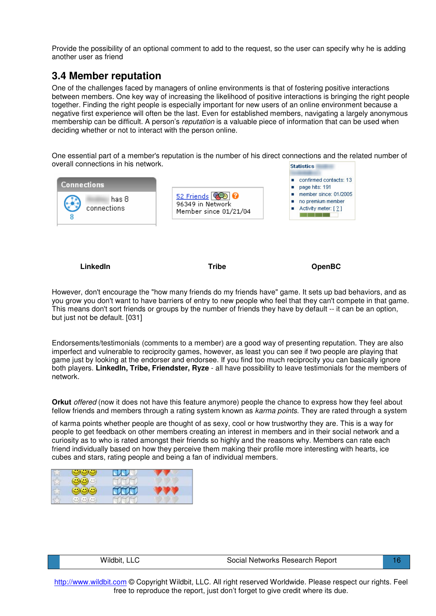Provide the possibility of an optional comment to add to the request, so the user can specify why he is adding another user as friend

### **3.4 Member reputation**

One of the challenges faced by managers of online environments is that of fostering positive interactions between members. One key way of increasing the likelihood of positive interactions is bringing the right people together. Finding the right people is especially important for new users of an online environment because a negative first experience will often be the last. Even for established members, navigating a largely anonymous membership can be difficult. A person's *reputation* is a valuable piece of information that can be used when deciding whether or not to interact with the person online.

One essential part of a member's reputation is the number of his direct connections and the related number of overall connections in his network. **Statistics** 

| <b>Connections</b>   |                                                            | confirmed contacts: 13<br>page hits: 191                                           |
|----------------------|------------------------------------------------------------|------------------------------------------------------------------------------------|
| has 8<br>connections | 52 Friends @D<br>96349 in Network<br>Member since 01/21/04 | member since: 01/2005<br>no premium member<br>$\blacksquare$ Activity meter: [ ? ] |

**LinkedIn Tribe OpenBC**

However, don't encourage the "how many friends do my friends have" game. It sets up bad behaviors, and as you grow you don't want to have barriers of entry to new people who feel that they can't compete in that game. This means don't sort friends or groups by the number of friends they have by default -- it can be an option, but just not be default. [031]

Endorsements/testimonials (comments to a member) are a good way of presenting reputation. They are also imperfect and vulnerable to reciprocity games, however, as least you can see if two people are playing that game just by looking at the endorser and endorsee. If you find too much reciprocity you can basically ignore both players. **LinkedIn, Tribe, Friendster, Ryze** - all have possibility to leave testimonials for the members of network.

**Orkut** *offered* (now it does not have this feature anymore) people the chance to express how they feel about fellow friends and members through a rating system known as *karma points*. They are rated through a system

of karma points whether people are thought of as sexy, cool or how trustworthy they are. This is a way for people to get feedback on other members creating an interest in members and in their social network and a curiosity as to who is rated amongst their friends so highly and the reasons why. Members can rate each friend individually based on how they perceive them making their profile more interesting with hearts, ice cubes and stars, rating people and being a fan of individual members.

|                        | ÷<br>ست |  |
|------------------------|---------|--|
| $\mathbf{u}$<br>$\sim$ |         |  |

|  |  | Wildbit, LLC |
|--|--|--------------|
|--|--|--------------|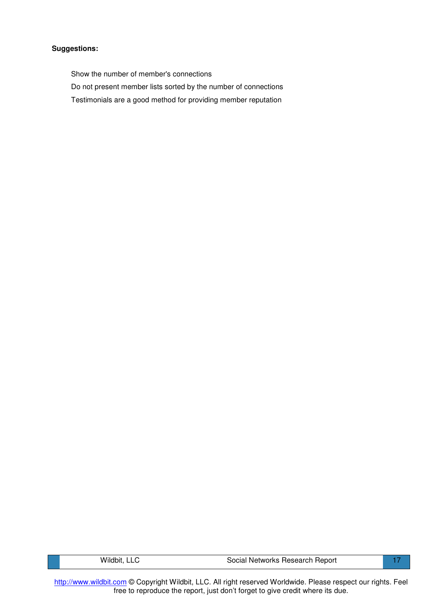Show the number of member's connections

- Do not present member lists sorted by the number of connections
- Testimonials are a good method for providing member reputation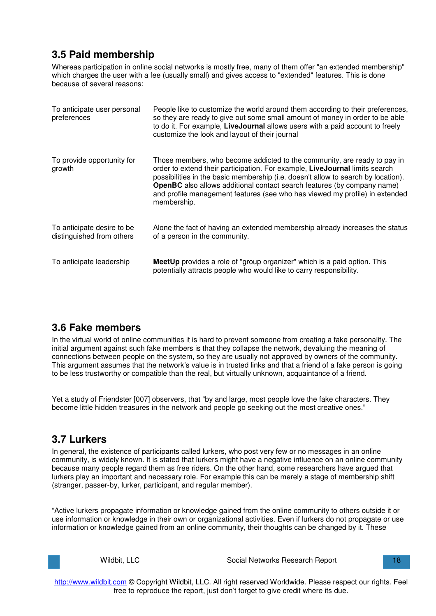## **3.5 Paid membership**

Whereas participation in online social networks is mostly free, many of them offer "an extended membership" which charges the user with a fee (usually small) and gives access to "extended" features. This is done because of several reasons:

| To anticipate user personal<br>preferences              | People like to customize the world around them according to their preferences,<br>so they are ready to give out some small amount of money in order to be able<br>to do it. For example, LiveJournal allows users with a paid account to freely<br>customize the look and layout of their journal                                                                                                                            |
|---------------------------------------------------------|------------------------------------------------------------------------------------------------------------------------------------------------------------------------------------------------------------------------------------------------------------------------------------------------------------------------------------------------------------------------------------------------------------------------------|
| To provide opportunity for<br>growth                    | Those members, who become addicted to the community, are ready to pay in<br>order to extend their participation. For example, LiveJournal limits search<br>possibilities in the basic membership (i.e. doesn't allow to search by location).<br><b>OpenBC</b> also allows additional contact search features (by company name)<br>and profile management features (see who has viewed my profile) in extended<br>membership. |
| To anticipate desire to be<br>distinguished from others | Alone the fact of having an extended membership already increases the status<br>of a person in the community.                                                                                                                                                                                                                                                                                                                |
| To anticipate leadership                                | MeetUp provides a role of "group organizer" which is a paid option. This<br>potentially attracts people who would like to carry responsibility.                                                                                                                                                                                                                                                                              |

### **3.6 Fake members**

In the virtual world of online communities it is hard to prevent someone from creating a fake personality. The initial argument against such fake members is that they collapse the network, devaluing the meaning of connections between people on the system, so they are usually not approved by owners of the community. This argument assumes that the network's value is in trusted links and that a friend of a fake person is going to be less trustworthy or compatible than the real, but virtually unknown, acquaintance of a friend.

Yet a study of Friendster [007] observers, that "by and large, most people love the fake characters. They become little hidden treasures in the network and people go seeking out the most creative ones."

### **3.7 Lurkers**

In general, the existence of participants called lurkers, who post very few or no messages in an online community, is widely known. It is stated that lurkers might have a negative influence on an online community because many people regard them as free riders. On the other hand, some researchers have argued that lurkers play an important and necessary role. For example this can be merely a stage of membership shift (stranger, passer-by, lurker, participant, and regular member).

"Active lurkers propagate information or knowledge gained from the online community to others outside it or use information or knowledge in their own or organizational activities. Even if lurkers do not propagate or use information or knowledge gained from an online community, their thoughts can be changed by it. These

|--|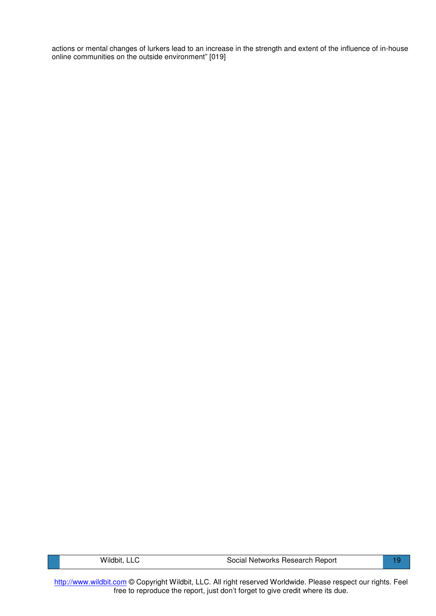actions or mental changes of lurkers lead to an increase in the strength and extent of the influence of in-house online communities on the outside environment" [019]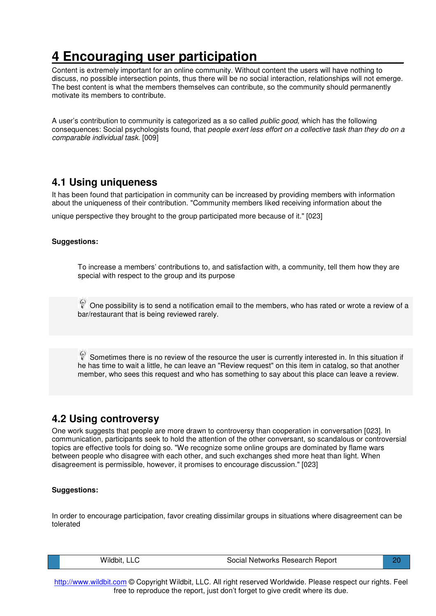# **4 Encouraging user participation\_\_\_\_\_\_\_\_\_\_\_\_\_\_\_\_\_\_\_\_**

Content is extremely important for an online community. Without content the users will have nothing to discuss, no possible intersection points, thus there will be no social interaction, relationships will not emerge. The best content is what the members themselves can contribute, so the community should permanently motivate its members to contribute.

A user's contribution to community is categorized as a so called *public good*, which has the following consequences: Social psychologists found, that *people exert less effort on a collective task than they do on a comparable individual task*. [009]

### **4.1 Using uniqueness**

It has been found that participation in community can be increased by providing members with information about the uniqueness of their contribution. "Community members liked receiving information about the

unique perspective they brought to the group participated more because of it." [023]

#### **Suggestions:**

To increase a members' contributions to, and satisfaction with, a community, tell them how they are special with respect to the group and its purpose

One possibility is to send a notification email to the members, who has rated or wrote a review of a bar/restaurant that is being reviewed rarely.

Sometimes there is no review of the resource the user is currently interested in. In this situation if he has time to wait a little, he can leave an "Review request" on this item in catalog, so that another member, who sees this request and who has something to say about this place can leave a review.

### **4.2 Using controversy**

One work suggests that people are more drawn to controversy than cooperation in conversation [023]. In communication, participants seek to hold the attention of the other conversant, so scandalous or controversial topics are effective tools for doing so. "We recognize some online groups are dominated by flame wars between people who disagree with each other, and such exchanges shed more heat than light. When disagreement is permissible, however, it promises to encourage discussion." [023]

#### **Suggestions:**

In order to encourage participation, favor creating dissimilar groups in situations where disagreement can be tolerated

| Wildbit, LLC | Social Networks Research Report | 21 |
|--------------|---------------------------------|----|
|              |                                 |    |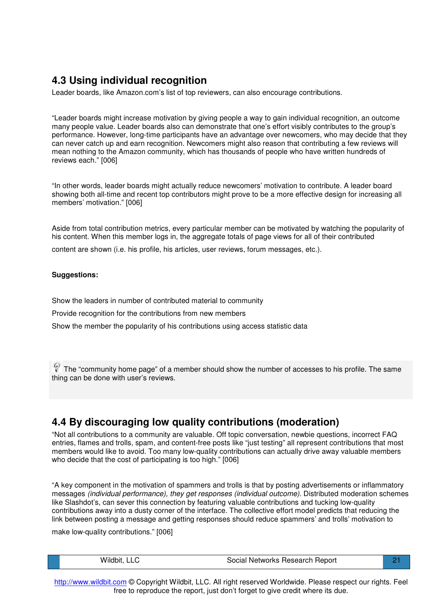### **4.3 Using individual recognition**

Leader boards, like Amazon.com's list of top reviewers, can also encourage contributions.

"Leader boards might increase motivation by giving people a way to gain individual recognition, an outcome many people value. Leader boards also can demonstrate that one's effort visibly contributes to the group's performance. However, long-time participants have an advantage over newcomers, who may decide that they can never catch up and earn recognition. Newcomers might also reason that contributing a few reviews will mean nothing to the Amazon community, which has thousands of people who have written hundreds of reviews each." [006]

"In other words, leader boards might actually reduce newcomers' motivation to contribute. A leader board showing both all-time and recent top contributors might prove to be a more effective design for increasing all members' motivation." [006]

Aside from total contribution metrics, every particular member can be motivated by watching the popularity of his content. When this member logs in, the aggregate totals of page views for all of their contributed

content are shown (i.e. his profile, his articles, user reviews, forum messages, etc.).

#### **Suggestions:**

Show the leaders in number of contributed material to community

Provide recognition for the contributions from new members

Show the member the popularity of his contributions using access statistic data

 $\mathbb{C}$  The "community home page" of a member should show the number of accesses to his profile. The same thing can be done with user's reviews.

### **4.4 By discouraging low quality contributions (moderation)**

"Not all contributions to a community are valuable. Off topic conversation, newbie questions, incorrect FAQ entries, flames and trolls, spam, and content-free posts like "just testing" all represent contributions that most members would like to avoid. Too many low-quality contributions can actually drive away valuable members who decide that the cost of participating is too high." [006]

"A key component in the motivation of spammers and trolls is that by posting advertisements or inflammatory messages *(individual performance), they get responses (individual outcome).* Distributed moderation schemes like Slashdot's, can sever this connection by featuring valuable contributions and tucking low-quality contributions away into a dusty corner of the interface. The collective effort model predicts that reducing the link between posting a message and getting responses should reduce spammers' and trolls' motivation to

make low-quality contributions." [006]

|  | Wildbit, LLC | Social Networks Research Report |  |
|--|--------------|---------------------------------|--|
|--|--------------|---------------------------------|--|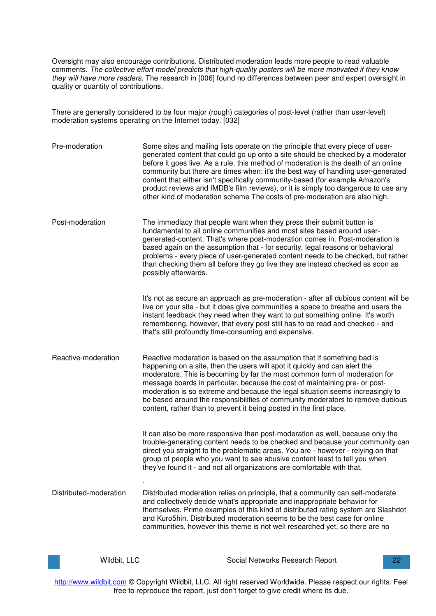Oversight may also encourage contributions. Distributed moderation leads more people to read valuable comments. *The collective effort model predicts that high-quality posters will be more motivated if they know they will have more readers*. The research in [006] found no differences between peer and expert oversight in quality or quantity of contributions.

There are generally considered to be four major (rough) categories of post-level (rather than user-level) moderation systems operating on the Internet today. [032]

| Pre-moderation         | Some sites and mailing lists operate on the principle that every piece of user-<br>generated content that could go up onto a site should be checked by a moderator<br>before it goes live. As a rule, this method of moderation is the death of an online<br>community but there are times when: it's the best way of handling user-generated<br>content that either isn't specifically community-based (for example Amazon's<br>product reviews and IMDB's film reviews), or it is simply too dangerous to use any<br>other kind of moderation scheme The costs of pre-moderation are also high. |
|------------------------|---------------------------------------------------------------------------------------------------------------------------------------------------------------------------------------------------------------------------------------------------------------------------------------------------------------------------------------------------------------------------------------------------------------------------------------------------------------------------------------------------------------------------------------------------------------------------------------------------|
| Post-moderation        | The immediacy that people want when they press their submit button is<br>fundamental to all online communities and most sites based around user-<br>generated-content. That's where post-moderation comes in. Post-moderation is<br>based again on the assumption that - for security, legal reasons or behavioral<br>problems - every piece of user-generated content needs to be checked, but rather<br>than checking them all before they go live they are instead checked as soon as<br>possibly afterwards.                                                                                  |
|                        | It's not as secure an approach as pre-moderation - after all dubious content will be<br>live on your site - but it does give communities a space to breathe and users the<br>instant feedback they need when they want to put something online. It's worth<br>remembering, however, that every post still has to be read and checked - and<br>that's still profoundly time-consuming and expensive.                                                                                                                                                                                               |
| Reactive-moderation    | Reactive moderation is based on the assumption that if something bad is<br>happening on a site, then the users will spot it quickly and can alert the<br>moderators. This is becoming by far the most common form of moderation for<br>message boards in particular, because the cost of maintaining pre- or post-<br>moderation is so extreme and because the legal situation seems increasingly to<br>be based around the responsibilities of community moderators to remove dubious<br>content, rather than to prevent it being posted in the first place.                                     |
|                        | It can also be more responsive than post-moderation as well, because only the<br>trouble-generating content needs to be checked and because your community can<br>direct you straight to the problematic areas. You are - however - relying on that<br>group of people who you want to see abusive content least to tell you when<br>they've found it - and not all organizations are comfortable with that.                                                                                                                                                                                      |
| Distributed-moderation | Distributed moderation relies on principle, that a community can self-moderate<br>and collectively decide what's appropriate and inappropriate behavior for<br>themselves. Prime examples of this kind of distributed rating system are Slashdot<br>and Kuro5hin. Distributed moderation seems to be the best case for online<br>communities, however this theme is not well researched yet, so there are no                                                                                                                                                                                      |

|  | Wildbit | Social Networks Research Report |  |
|--|---------|---------------------------------|--|
|--|---------|---------------------------------|--|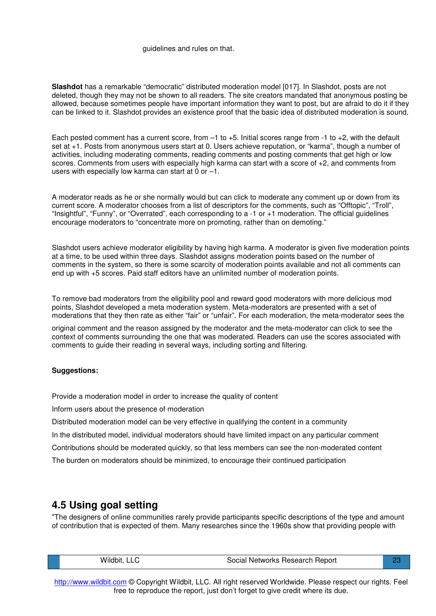#### guidelines and rules on that.

**Slashdot** has a remarkable "democratic" distributed moderation model [017]. In Slashdot, posts are not deleted, though they may not be shown to all readers. The site creators mandated that anonymous posting be allowed, because sometimes people have important information they want to post, but are afraid to do it if they can be linked to it. Slashdot provides an existence proof that the basic idea of distributed moderation is sound.

Each posted comment has a current score, from –1 to +5. Initial scores range from -1 to +2, with the default set at +1. Posts from anonymous users start at 0. Users achieve reputation, or "karma", though a number of activities, including moderating comments, reading comments and posting comments that get high or low scores. Comments from users with especially high karma can start with a score of +2, and comments from users with especially low karma can start at 0 or –1.

A moderator reads as he or she normally would but can click to moderate any comment up or down from its current score. A moderator chooses from a list of descriptors for the comments, such as "Offtopic", "Troll", "Insightful", "Funny", or "Overrated", each corresponding to a -1 or +1 moderation. The official guidelines encourage moderators to "concentrate more on promoting, rather than on demoting."

Slashdot users achieve moderator eligibility by having high karma. A moderator is given five moderation points at a time, to be used within three days. Slashdot assigns moderation points based on the number of comments in the system, so there is some scarcity of moderation points available and not all comments can end up with +5 scores. Paid staff editors have an unlimited number of moderation points.

To remove bad moderators from the eligibility pool and reward good moderators with more delicious mod points, Slashdot developed a meta moderation system. Meta-moderators are presented with a set of moderations that they then rate as either "fair" or "unfair". For each moderation, the meta-moderator sees the

original comment and the reason assigned by the moderator and the meta-moderator can click to see the context of comments surrounding the one that was moderated. Readers can use the scores associated with comments to guide their reading in several ways, including sorting and filtering.

### **Suggestions:**

Provide a moderation model in order to increase the quality of content

Inform users about the presence of moderation

Distributed moderation model can be very effective in qualifying the content in a community

In the distributed model, individual moderators should have limited impact on any particular comment

Contributions should be moderated quickly, so that less members can see the non-moderated content

The burden on moderators should be minimized, to encourage their continued participation

### **4.5 Using goal setting**

"The designers of online communities rarely provide participants specific descriptions of the type and amount of contribution that is expected of them. Many researches since the 1960s show that providing people with

| Wildbit, LLC | Social Networks Research Report | $\mathbf{C}$ |
|--------------|---------------------------------|--------------|
|              |                                 |              |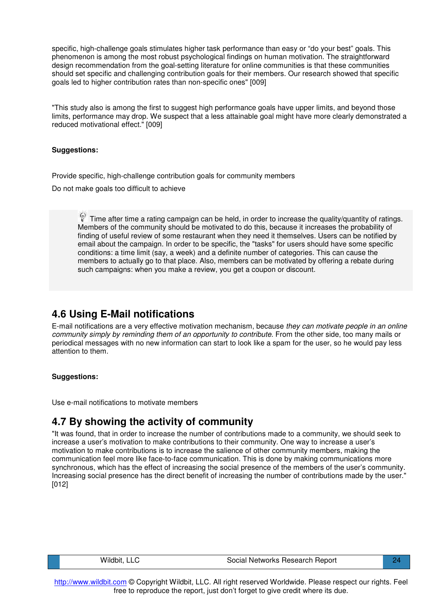specific, high-challenge goals stimulates higher task performance than easy or "do your best" goals. This phenomenon is among the most robust psychological findings on human motivation. The straightforward design recommendation from the goal-setting literature for online communities is that these communities should set specific and challenging contribution goals for their members. Our research showed that specific goals led to higher contribution rates than non-specific ones" [009]

"This study also is among the first to suggest high performance goals have upper limits, and beyond those limits, performance may drop. We suspect that a less attainable goal might have more clearly demonstrated a reduced motivational effect." [009]

#### **Suggestions:**

Provide specific, high-challenge contribution goals for community members

Do not make goals too difficult to achieve

Time after time a rating campaign can be held, in order to increase the quality/quantity of ratings. Members of the community should be motivated to do this, because it increases the probability of finding of useful review of some restaurant when they need it themselves. Users can be notified by email about the campaign. In order to be specific, the "tasks" for users should have some specific conditions: a time limit (say, a week) and a definite number of categories. This can cause the members to actually go to that place. Also, members can be motivated by offering a rebate during such campaigns: when you make a review, you get a coupon or discount.

### **4.6 Using E-Mail notifications**

E-mail notifications are a very effective motivation mechanism, because *they can motivate people in an online community simply by reminding them of an opportunity to contribute.* From the other side, too many mails or periodical messages with no new information can start to look like a spam for the user, so he would pay less attention to them.

#### **Suggestions:**

Use e-mail notifications to motivate members

### **4.7 By showing the activity of community**

"It was found, that in order to increase the number of contributions made to a community, we should seek to increase a user's motivation to make contributions to their community. One way to increase a user's motivation to make contributions is to increase the salience of other community members, making the communication feel more like face-to-face communication. This is done by making communications more synchronous, which has the effect of increasing the social presence of the members of the user's community. Increasing social presence has the direct benefit of increasing the number of contributions made by the user." [012]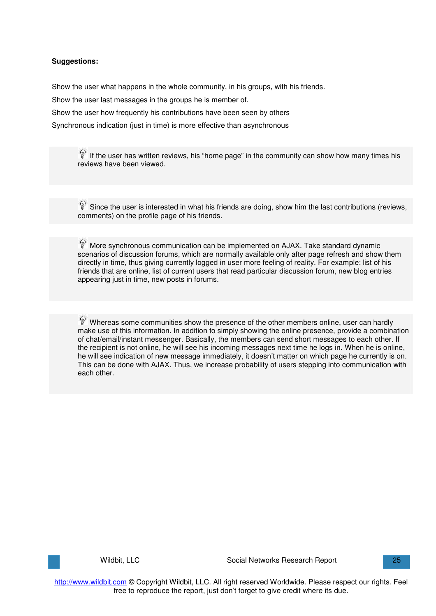Show the user what happens in the whole community, in his groups, with his friends.

Show the user last messages in the groups he is member of.

Show the user how frequently his contributions have been seen by others

Synchronous indication (just in time) is more effective than asynchronous

 $\mathbb{V}$  If the user has written reviews, his "home page" in the community can show how many times his reviews have been viewed.

 $\mathbb{S}$  Since the user is interested in what his friends are doing, show him the last contributions (reviews, comments) on the profile page of his friends.

More synchronous communication can be implemented on AJAX. Take standard dynamic scenarios of discussion forums, which are normally available only after page refresh and show them directly in time, thus giving currently logged in user more feeling of reality. For example: list of his friends that are online, list of current users that read particular discussion forum, new blog entries appearing just in time, new posts in forums.

 $\mathbb P$  Whereas some communities show the presence of the other members online, user can hardly make use of this information. In addition to simply showing the online presence, provide a combination of chat/email/instant messenger. Basically, the members can send short messages to each other. If the recipient is not online, he will see his incoming messages next time he logs in. When he is online, he will see indication of new message immediately, it doesn't matter on which page he currently is on. This can be done with AJAX. Thus, we increase probability of users stepping into communication with each other.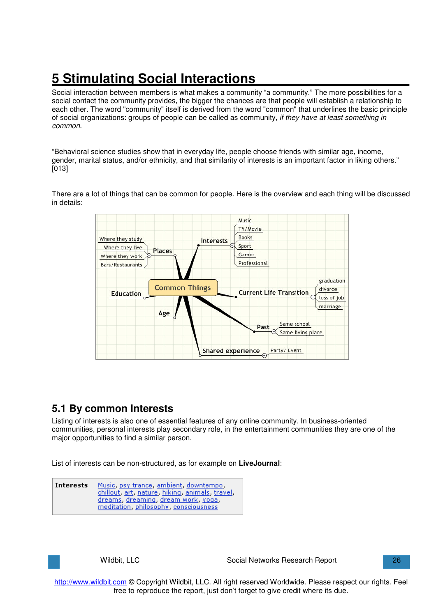# **5 Stimulating Social Interactions\_\_\_\_\_\_\_\_\_\_\_\_\_\_\_\_\_\_\_\_\_**

Social interaction between members is what makes a community "a community." The more possibilities for a social contact the community provides, the bigger the chances are that people will establish a relationship to each other. The word "community" itself is derived from the word "common" that underlines the basic principle of social organizations: groups of people can be called as community, *if they have at least something in common*.

"Behavioral science studies show that in everyday life, people choose friends with similar age, income, gender, marital status, and/or ethnicity, and that similarity of interests is an important factor in liking others." [013]

There are a lot of things that can be common for people. Here is the overview and each thing will be discussed in details:



### **5.1 By common Interests**

Listing of interests is also one of essential features of any online community. In business-oriented communities, personal interests play secondary role, in the entertainment communities they are one of the major opportunities to find a similar person.

List of interests can be non-structured, as for example on **LiveJournal**:

**Interests** Music, psy trance, ambient, downtempo, chillout, art, nature, hiking, animals, travel, dreams, dreaming, dream work, yoga, meditation, philosophy, consciousness

Wildbit, LLC **No. 28 Communist Constructs** Social Networks Research Report 26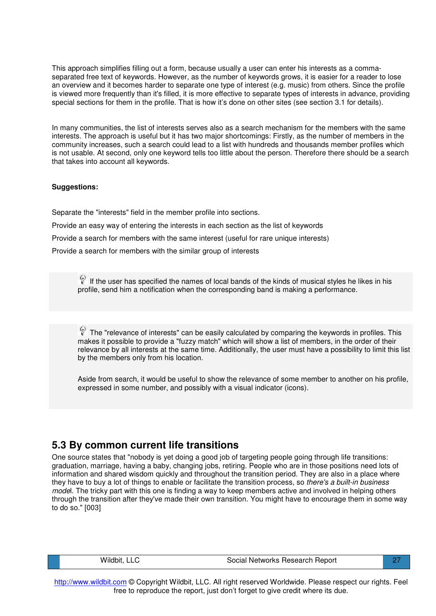This approach simplifies filling out a form, because usually a user can enter his interests as a commaseparated free text of keywords. However, as the number of keywords grows, it is easier for a reader to lose an overview and it becomes harder to separate one type of interest (e.g. music) from others. Since the profile is viewed more frequently than it's filled, it is more effective to separate types of interests in advance, providing special sections for them in the profile. That is how it's done on other sites (see section 3.1 for details).

In many communities, the list of interests serves also as a search mechanism for the members with the same interests. The approach is useful but it has two major shortcomings: Firstly, as the number of members in the community increases, such a search could lead to a list with hundreds and thousands member profiles which is not usable. At second, only one keyword tells too little about the person. Therefore there should be a search that takes into account all keywords.

#### **Suggestions:**

Separate the "interests" field in the member profile into sections. Provide an easy way of entering the interests in each section as the list of keywords Provide a search for members with the same interest (useful for rare unique interests) Provide a search for members with the similar group of interests

If the user has specified the names of local bands of the kinds of musical styles he likes in his profile, send him a notification when the corresponding band is making a performance.

 $\mathbb{R}$  The "relevance of interests" can be easily calculated by comparing the keywords in profiles. This makes it possible to provide a "fuzzy match" which will show a list of members, in the order of their relevance by all interests at the same time. Additionally, the user must have a possibility to limit this list by the members only from his location.

Aside from search, it would be useful to show the relevance of some member to another on his profile, expressed in some number, and possibly with a visual indicator (icons).

### **5.3 By common current life transitions**

One source states that "nobody is yet doing a good job of targeting people going through life transitions: graduation, marriage, having a baby, changing jobs, retiring. People who are in those positions need lots of information and shared wisdom quickly and throughout the transition period. They are also in a place where they have to buy a lot of things to enable or facilitate the transition process, so *there's a built-in business mode*l. The tricky part with this one is finding a way to keep members active and involved in helping others through the transition after they've made their own transition. You might have to encourage them in some way to do so." [003]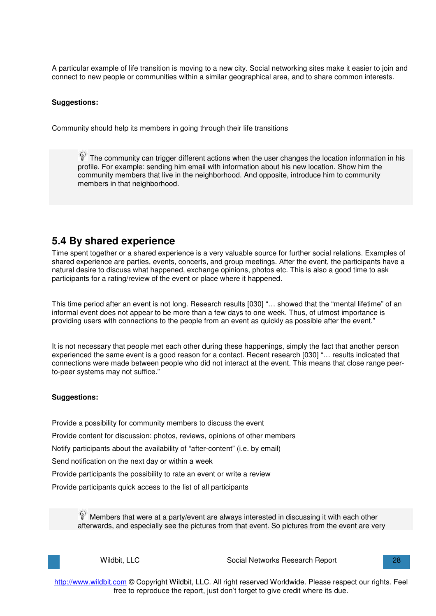A particular example of life transition is moving to a new city. Social networking sites make it easier to join and connect to new people or communities within a similar geographical area, and to share common interests.

#### **Suggestions:**

Community should help its members in going through their life transitions

 $\mathbb{R}$  The community can trigger different actions when the user changes the location information in his profile. For example: sending him email with information about his new location. Show him the community members that live in the neighborhood. And opposite, introduce him to community members in that neighborhood.

### **5.4 By shared experience**

Time spent together or a shared experience is a very valuable source for further social relations. Examples of shared experience are parties, events, concerts, and group meetings. After the event, the participants have a natural desire to discuss what happened, exchange opinions, photos etc. This is also a good time to ask participants for a rating/review of the event or place where it happened.

This time period after an event is not long. Research results [030] "… showed that the "mental lifetime" of an informal event does not appear to be more than a few days to one week. Thus, of utmost importance is providing users with connections to the people from an event as quickly as possible after the event."

It is not necessary that people met each other during these happenings, simply the fact that another person experienced the same event is a good reason for a contact. Recent research [030] "… results indicated that connections were made between people who did not interact at the event. This means that close range peerto-peer systems may not suffice."

#### **Suggestions:**

Provide a possibility for community members to discuss the event

Provide content for discussion: photos, reviews, opinions of other members

Notify participants about the availability of "after-content" (i.e. by email)

Send notification on the next day or within a week

Provide participants the possibility to rate an event or write a review

Provide participants quick access to the list of all participants

Members that were at a party/event are always interested in discussing it with each other afterwards, and especially see the pictures from that event. So pictures from the event are very

|  | Wildbit, LLC | Social Networks Research Report |  |
|--|--------------|---------------------------------|--|
|--|--------------|---------------------------------|--|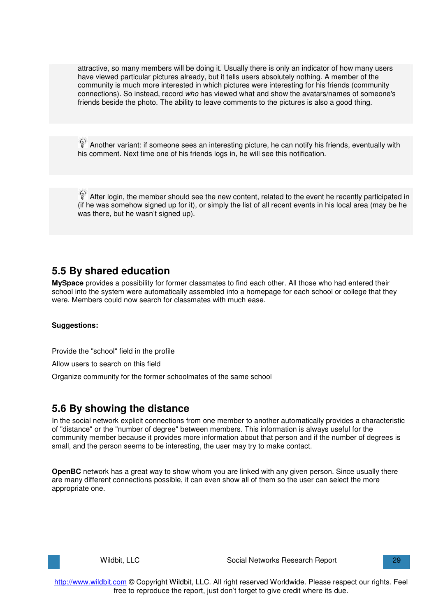attractive, so many members will be doing it. Usually there is only an indicator of how many users have viewed particular pictures already, but it tells users absolutely nothing. A member of the community is much more interested in which pictures were interesting for his friends (community connections). So instead, record *who* has viewed what and show the avatars/names of someone's friends beside the photo. The ability to leave comments to the pictures is also a good thing.

Another variant: if someone sees an interesting picture, he can notify his friends, eventually with his comment. Next time one of his friends logs in, he will see this notification.

After login, the member should see the new content, related to the event he recently participated in (if he was somehow signed up for it), or simply the list of all recent events in his local area (may be he was there, but he wasn't signed up).

### **5.5 By shared education**

**MySpace** provides a possibility for former classmates to find each other. All those who had entered their school into the system were automatically assembled into a homepage for each school or college that they were. Members could now search for classmates with much ease.

#### **Suggestions:**

Provide the "school" field in the profile

Allow users to search on this field

Organize community for the former schoolmates of the same school

### **5.6 By showing the distance**

In the social network explicit connections from one member to another automatically provides a characteristic of "distance" or the "number of degree" between members. This information is always useful for the community member because it provides more information about that person and if the number of degrees is small, and the person seems to be interesting, the user may try to make contact.

**OpenBC** network has a great way to show whom you are linked with any given person. Since usually there are many different connections possible, it can even show all of them so the user can select the more appropriate one.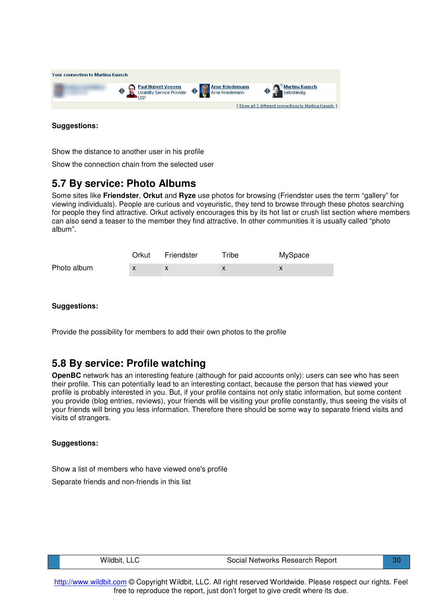

Show the distance to another user in his profile

Show the connection chain from the selected user

### **5.7 By service: Photo Albums**

Some sites like **Friendster**, **Orkut** and **Ryze** use photos for browsing (Friendster uses the term "gallery" for viewing individuals). People are curious and voyeuristic, they tend to browse through these photos searching for people they find attractive. Orkut actively encourages this by its hot list or crush list section where members can also send a teaser to the member they find attractive. In other communities it is usually called "photo album".

|             | Orkut | Friendster | Tribe | MySpace |
|-------------|-------|------------|-------|---------|
| Photo album |       |            |       |         |

#### **Suggestions:**

Provide the possibility for members to add their own photos to the profile

### **5.8 By service: Profile watching**

**OpenBC** network has an interesting feature (although for paid accounts only): users can see who has seen their profile. This can potentially lead to an interesting contact, because the person that has viewed your profile is probably interested in you. But, if your profile contains not only static information, but some content you provide (blog entries, reviews), your friends will be visiting your profile constantly, thus seeing the visits of your friends will bring you less information. Therefore there should be some way to separate friend visits and visits of strangers.

#### **Suggestions:**

Show a list of members who have viewed one's profile

Separate friends and non-friends in this list

| Wildbit, LLC |  |
|--------------|--|
|--------------|--|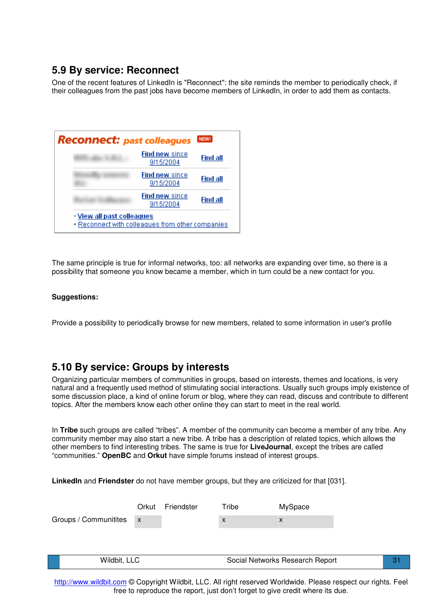### **5.9 By service: Reconnect**

One of the recent features of LinkedIn is "Reconnect": the site reminds the member to periodically check, if their colleagues from the past jobs have become members of LinkedIn, in order to add them as contacts.

| <b>Reconnect:</b> past colleagues |                                                  | <b>NEW!</b> |
|-----------------------------------|--------------------------------------------------|-------------|
|                                   | <b>Find new since</b><br>9/15/2004               | Find all    |
|                                   | <b>Find new since</b><br>9/15/2004               | Find all    |
|                                   | <b>Find new since</b><br>9/15/2004               | Find all    |
| • View all past colleagues        | - Reconnect with colleagues from other companies |             |

The same principle is true for informal networks, too: all networks are expanding over time, so there is a possibility that someone you know became a member, which in turn could be a new contact for you.

#### **Suggestions:**

Provide a possibility to periodically browse for new members, related to some information in user's profile

### **5.10 By service: Groups by interests**

Organizing particular members of communities in groups, based on interests, themes and locations, is very natural and a frequently used method of stimulating social interactions. Usually such groups imply existence of some discussion place, a kind of online forum or blog, where they can read, discuss and contribute to different topics. After the members know each other online they can start to meet in the real world.

In **Tribe** such groups are called "tribes". A member of the community can become a member of any tribe. Any community member may also start a new tribe. A tribe has a description of related topics, which allows the other members to find interesting tribes. The same is true for **LiveJournal**, except the tribes are called "communities." **OpenBC** and **Orkut** have simple forums instead of interest groups.

**LinkedIn** and **Friendster** do not have member groups, but they are criticized for that [031].

|                       | Orkut        | Friendster | Tribe | MySpace                         |    |
|-----------------------|--------------|------------|-------|---------------------------------|----|
| Groups / Communitites | $\mathsf{X}$ |            | X     | x                               |    |
|                       |              |            |       |                                 |    |
|                       |              |            |       |                                 |    |
| Wildbit, LLC          |              |            |       | Social Networks Research Report | 31 |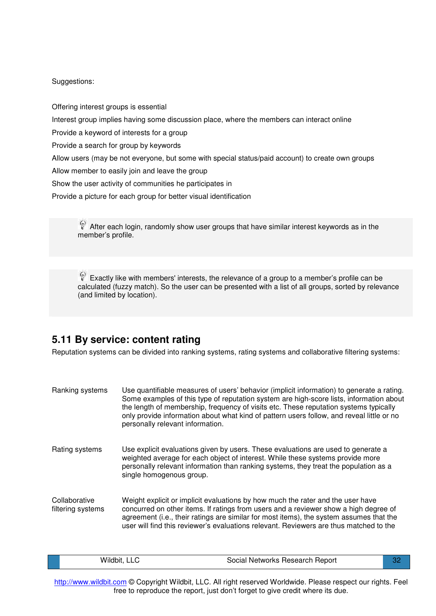Offering interest groups is essential

Interest group implies having some discussion place, where the members can interact online

Provide a keyword of interests for a group

Provide a search for group by keywords

Allow users (may be not everyone, but some with special status/paid account) to create own groups

Allow member to easily join and leave the group

Show the user activity of communities he participates in

Provide a picture for each group for better visual identification

After each login, randomly show user groups that have similar interest keywords as in the member's profile.

Exactly like with members' interests, the relevance of a group to a member's profile can be calculated (fuzzy match). So the user can be presented with a list of all groups, sorted by relevance (and limited by location).

## **5.11 By service: content rating**

Reputation systems can be divided into ranking systems, rating systems and collaborative filtering systems:

| Ranking systems                    | Use quantifiable measures of users' behavior (implicit information) to generate a rating.<br>Some examples of this type of reputation system are high-score lists, information about<br>the length of membership, frequency of visits etc. These reputation systems typically<br>only provide information about what kind of pattern users follow, and reveal little or no<br>personally relevant information. |
|------------------------------------|----------------------------------------------------------------------------------------------------------------------------------------------------------------------------------------------------------------------------------------------------------------------------------------------------------------------------------------------------------------------------------------------------------------|
| Rating systems                     | Use explicit evaluations given by users. These evaluations are used to generate a<br>weighted average for each object of interest. While these systems provide more<br>personally relevant information than ranking systems, they treat the population as a<br>single homogenous group.                                                                                                                        |
| Collaborative<br>filtering systems | Weight explicit or implicit evaluations by how much the rater and the user have<br>concurred on other items. If ratings from users and a reviewer show a high degree of<br>agreement (i.e., their ratings are similar for most items), the system assumes that the<br>user will find this reviewer's evaluations relevant. Reviewers are thus matched to the                                                   |

|  | Wildbit,<br>∟LC ∶ | Social Networks Research Report | n, |
|--|-------------------|---------------------------------|----|
|--|-------------------|---------------------------------|----|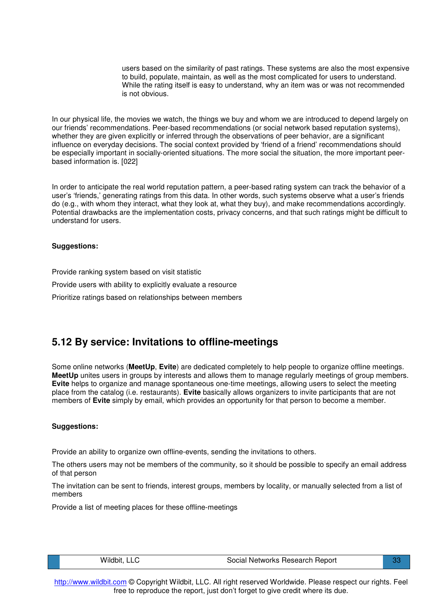users based on the similarity of past ratings. These systems are also the most expensive to build, populate, maintain, as well as the most complicated for users to understand. While the rating itself is easy to understand, why an item was or was not recommended is not obvious.

In our physical life, the movies we watch, the things we buy and whom we are introduced to depend largely on our friends' recommendations. Peer-based recommendations (or social network based reputation systems), whether they are given explicitly or inferred through the observations of peer behavior, are a significant influence on everyday decisions. The social context provided by 'friend of a friend' recommendations should be especially important in socially-oriented situations. The more social the situation, the more important peerbased information is. [022]

In order to anticipate the real world reputation pattern, a peer-based rating system can track the behavior of a user's 'friends,' generating ratings from this data. In other words, such systems observe what a user's friends do (e.g., with whom they interact, what they look at, what they buy), and make recommendations accordingly. Potential drawbacks are the implementation costs, privacy concerns, and that such ratings might be difficult to understand for users.

#### **Suggestions:**

Provide ranking system based on visit statistic

Provide users with ability to explicitly evaluate a resource

Prioritize ratings based on relationships between members

### **5.12 By service: Invitations to offline-meetings**

Some online networks (**MeetUp**, **Evite**) are dedicated completely to help people to organize offline meetings. **MeetUp** unites users in groups by interests and allows them to manage regularly meetings of group members. **Evite** helps to organize and manage spontaneous one-time meetings, allowing users to select the meeting place from the catalog (i.e. restaurants). **Evite** basically allows organizers to invite participants that are not members of **Evite** simply by email, which provides an opportunity for that person to become a member.

#### **Suggestions:**

Provide an ability to organize own offline-events, sending the invitations to others.

The others users may not be members of the community, so it should be possible to specify an email address of that person

The invitation can be sent to friends, interest groups, members by locality, or manually selected from a list of members

Provide a list of meeting places for these offline-meetings

| Wildbit, LLC |  |
|--------------|--|
|--------------|--|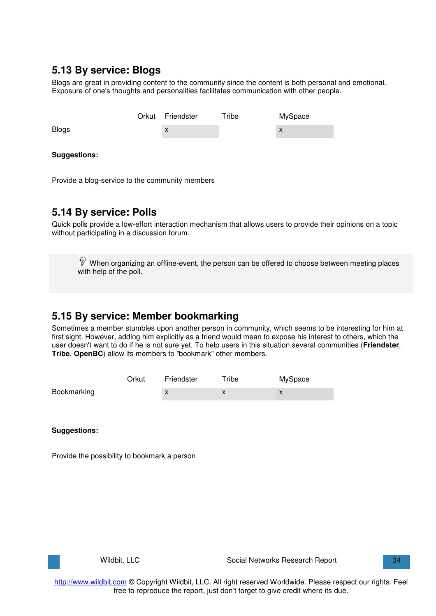### **5.13 By service: Blogs**

Blogs are great in providing content to the community since the content is both personal and emotional. Exposure of one's thoughts and personalities facilitates communication with other people.

|                     | Orkut | Friendster | Tribe | MySpace |
|---------------------|-------|------------|-------|---------|
| <b>Blogs</b>        |       | X          |       | X       |
|                     |       |            |       |         |
| <b>Suggestions:</b> |       |            |       |         |

Provide a blog-service to the community members

### **5.14 By service: Polls**

Quick polls provide a low-effort interaction mechanism that allows users to provide their opinions on a topic without participating in a discussion forum.

When organizing an offline-event, the person can be offered to choose between meeting places with help of the poll.

### **5.15 By service: Member bookmarking**

Sometimes a member stumbles upon another person in community, which seems to be interesting for him at first sight. However, adding him explicitly as a friend would mean to expose his interest to others, which the user doesn't want to do if he is not sure yet. To help users in this situation several communities (**Friendster**, **Tribe**, **OpenBC**) allow its members to "bookmark" other members.

|             | Orkut | Friendster | Tribe | MySpace |
|-------------|-------|------------|-------|---------|
| Bookmarking |       | X          |       |         |

**Suggestions:**

Provide the possibility to bookmark a person

| Wildbit, LLC | Social Networks Research Report |  |
|--------------|---------------------------------|--|
|              |                                 |  |